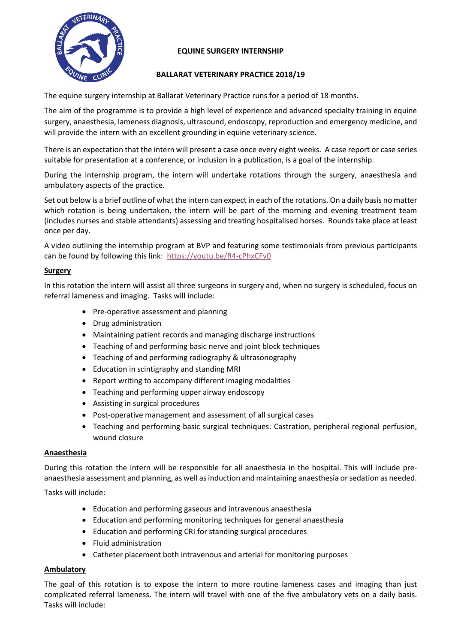

# **EQUINE SURGERY INTERNSHIP**

# **BALLARAT VETERINARY PRACTICE 2018/19**

The equine surgery internship at Ballarat Veterinary Practice runs for a period of 18 months.

The aim of the programme is to provide a high level of experience and advanced specialty training in equine surgery, anaesthesia, lameness diagnosis, ultrasound, endoscopy, reproduction and emergency medicine, and will provide the intern with an excellent grounding in equine veterinary science.

There is an expectation that the intern will present a case once every eight weeks. A case report or case series suitable for presentation at a conference, or inclusion in a publication, is a goal of the internship.

During the internship program, the intern will undertake rotations through the surgery, anaesthesia and ambulatory aspects of the practice.

Set out below is a brief outline of what the intern can expect in each of the rotations. On a daily basis no matter which rotation is being undertaken, the intern will be part of the morning and evening treatment team (includes nurses and stable attendants) assessing and treating hospitalised horses. Rounds take place at least once per day.

A video outlining the internship program at BVP and featuring some testimonials from previous participants can be found by following this link: <https://youtu.be/R4-cPhxCFv0>

### **Surgery**

In this rotation the intern will assist all three surgeons in surgery and, when no surgery is scheduled, focus on referral lameness and imaging. Tasks will include:

- Pre-operative assessment and planning
- Drug administration
- Maintaining patient records and managing discharge instructions
- Teaching of and performing basic nerve and joint block techniques
- Teaching of and performing radiography & ultrasonography
- Education in scintigraphy and standing MRI
- Report writing to accompany different imaging modalities
- Teaching and performing upper airway endoscopy
- Assisting in surgical procedures
- Post-operative management and assessment of all surgical cases
- Teaching and performing basic surgical techniques: Castration, peripheral regional perfusion, wound closure

### **Anaesthesia**

During this rotation the intern will be responsible for all anaesthesia in the hospital. This will include preanaesthesia assessment and planning, as well as induction and maintaining anaesthesia or sedation as needed.

Tasks will include:

- Education and performing gaseous and intravenous anaesthesia
- Education and performing monitoring techniques for general anaesthesia
- Education and performing CRI for standing surgical procedures
- Fluid administration
- Catheter placement both intravenous and arterial for monitoring purposes

### **Ambulatory**

The goal of this rotation is to expose the intern to more routine lameness cases and imaging than just complicated referral lameness. The intern will travel with one of the five ambulatory vets on a daily basis. Tasks will include: